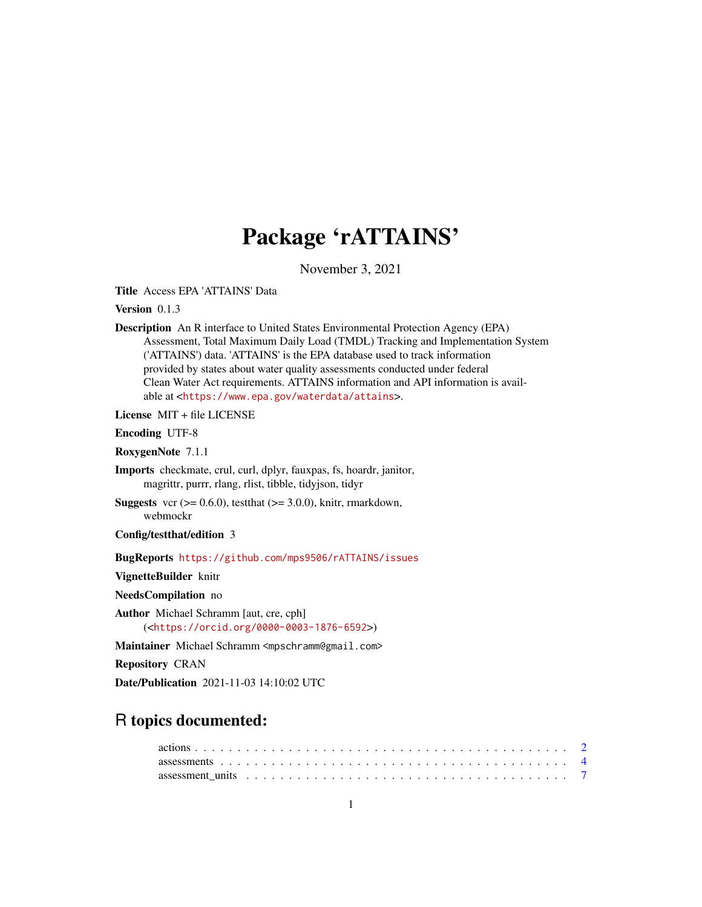# Package 'rATTAINS'

November 3, 2021

<span id="page-0-0"></span>Title Access EPA 'ATTAINS' Data

Version 0.1.3

Description An R interface to United States Environmental Protection Agency (EPA) Assessment, Total Maximum Daily Load (TMDL) Tracking and Implementation System ('ATTAINS') data. 'ATTAINS' is the EPA database used to track information provided by states about water quality assessments conducted under federal Clean Water Act requirements. ATTAINS information and API information is available at <<https://www.epa.gov/waterdata/attains>>.

License MIT + file LICENSE

Encoding UTF-8

RoxygenNote 7.1.1

Imports checkmate, crul, curl, dplyr, fauxpas, fs, hoardr, janitor, magrittr, purrr, rlang, rlist, tibble, tidyjson, tidyr

**Suggests** vcr  $(>= 0.6.0)$ , test that  $(>= 3.0.0)$ , knitr, rmarkdown, webmockr

Config/testthat/edition 3

BugReports <https://github.com/mps9506/rATTAINS/issues>

VignetteBuilder knitr

NeedsCompilation no

Author Michael Schramm [aut, cre, cph] (<<https://orcid.org/0000-0003-1876-6592>>)

Maintainer Michael Schramm <mpschramm@gmail.com>

Repository CRAN

Date/Publication 2021-11-03 14:10:02 UTC

# R topics documented:

| assessment units $\ldots \ldots \ldots \ldots \ldots \ldots \ldots \ldots \ldots \ldots \ldots \ldots$ |  |  |  |  |  |  |  |  |  |  |  |  |  |  |  |  |  |  |  |
|--------------------------------------------------------------------------------------------------------|--|--|--|--|--|--|--|--|--|--|--|--|--|--|--|--|--|--|--|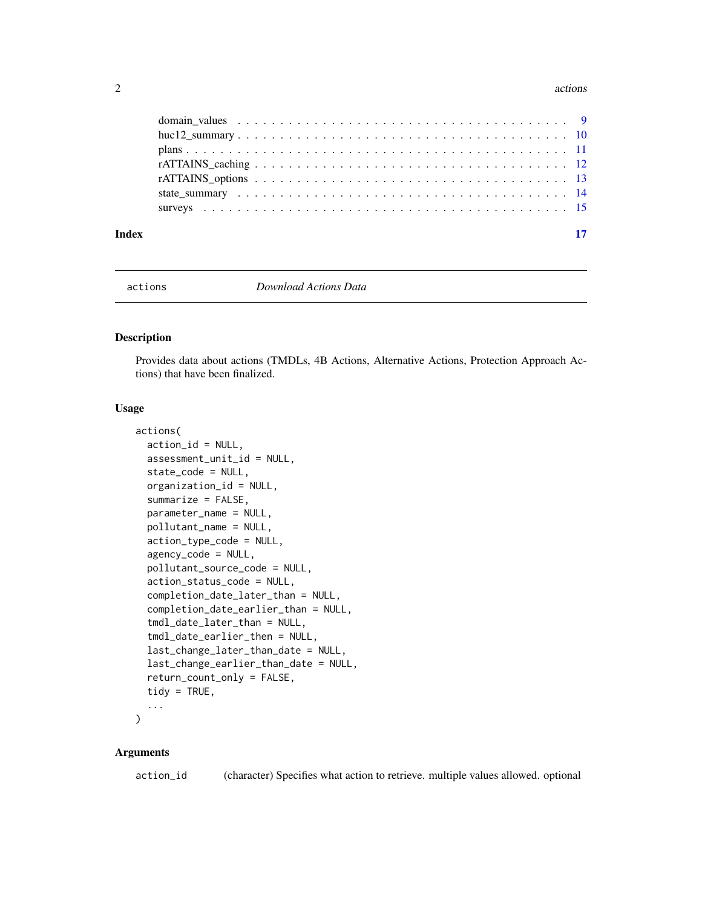#### <span id="page-1-0"></span>2 actions are not a contract to the contract of the contract of the contract of the contract of the contract of the contract of the contract of the contract of the contract of the contract of the contract of the contract o

| $rATTAINS\_options \dots \dots \dots \dots \dots \dots \dots \dots \dots \dots \dots \dots \dots \dots \dots \dots \dots \dots$ |  |
|---------------------------------------------------------------------------------------------------------------------------------|--|
|                                                                                                                                 |  |
|                                                                                                                                 |  |
|                                                                                                                                 |  |
|                                                                                                                                 |  |

<span id="page-1-1"></span>

actions *Download Actions Data*

#### Description

Provides data about actions (TMDLs, 4B Actions, Alternative Actions, Protection Approach Actions) that have been finalized.

# Usage

```
actions(
  action_id = NULL,
  assessment_unit_id = NULL,
  state_code = NULL,
  organization_id = NULL,
  summarize = FALSE,
  parameter_name = NULL,
  pollutant_name = NULL,
  action_type_code = NULL,
  agency_code = NULL,
  pollutant_source_code = NULL,
  action_status_code = NULL,
  completion_date_later_than = NULL,
  completion_date_earlier_than = NULL,
  tmdl_date_later_than = NULL,
  tmdl_date_earlier_then = NULL,
  last_change_later_than_date = NULL,
  last_change_earlier_than_date = NULL,
  return_count_only = FALSE,
  tidy = TRUE,
  ...
\mathcal{L}
```
# Arguments

action\_id (character) Specifies what action to retrieve. multiple values allowed. optional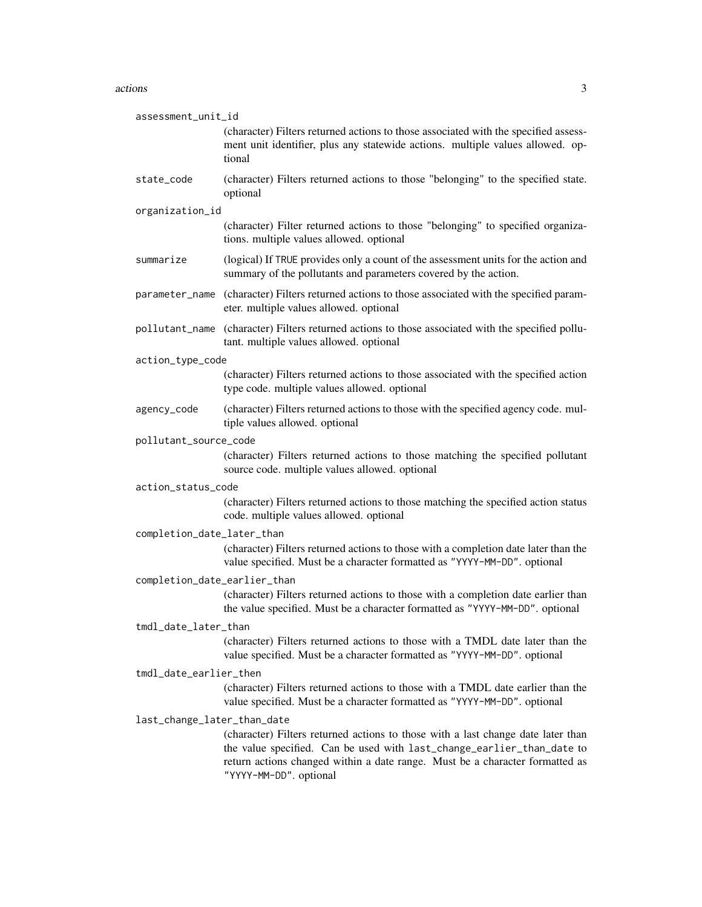#### actions 3

| assessment_unit_id           |                                                                                                                                                                                                                                                                      |
|------------------------------|----------------------------------------------------------------------------------------------------------------------------------------------------------------------------------------------------------------------------------------------------------------------|
|                              | (character) Filters returned actions to those associated with the specified assess-<br>ment unit identifier, plus any statewide actions. multiple values allowed. op-<br>tional                                                                                      |
| state_code                   | (character) Filters returned actions to those "belonging" to the specified state.<br>optional                                                                                                                                                                        |
| organization_id              |                                                                                                                                                                                                                                                                      |
|                              | (character) Filter returned actions to those "belonging" to specified organiza-<br>tions. multiple values allowed. optional                                                                                                                                          |
| summarize                    | (logical) If TRUE provides only a count of the assessment units for the action and<br>summary of the pollutants and parameters covered by the action.                                                                                                                |
| parameter_name               | (character) Filters returned actions to those associated with the specified param-<br>eter. multiple values allowed. optional                                                                                                                                        |
|                              | pollutant_name (character) Filters returned actions to those associated with the specified pollu-<br>tant. multiple values allowed. optional                                                                                                                         |
| action_type_code             |                                                                                                                                                                                                                                                                      |
|                              | (character) Filters returned actions to those associated with the specified action<br>type code. multiple values allowed. optional                                                                                                                                   |
| agency_code                  | (character) Filters returned actions to those with the specified agency code. mul-<br>tiple values allowed. optional                                                                                                                                                 |
| pollutant_source_code        |                                                                                                                                                                                                                                                                      |
|                              | (character) Filters returned actions to those matching the specified pollutant<br>source code. multiple values allowed. optional                                                                                                                                     |
| action_status_code           |                                                                                                                                                                                                                                                                      |
|                              | (character) Filters returned actions to those matching the specified action status<br>code. multiple values allowed. optional                                                                                                                                        |
| completion_date_later_than   |                                                                                                                                                                                                                                                                      |
|                              | (character) Filters returned actions to those with a completion date later than the<br>value specified. Must be a character formatted as "YYYY-MM-DD". optional                                                                                                      |
| completion_date_earlier_than |                                                                                                                                                                                                                                                                      |
|                              | (character) Filters returned actions to those with a completion date earlier than<br>the value specified. Must be a character formatted as "YYYY-MM-DD". optional                                                                                                    |
| tmdl_date_later_than         |                                                                                                                                                                                                                                                                      |
|                              | (character) Filters returned actions to those with a TMDL date later than the<br>value specified. Must be a character formatted as "YYYY-MM-DD". optional                                                                                                            |
| tmdl_date_earlier_then       |                                                                                                                                                                                                                                                                      |
|                              | (character) Filters returned actions to those with a TMDL date earlier than the<br>value specified. Must be a character formatted as "YYYY-MM-DD". optional                                                                                                          |
| last_change_later_than_date  |                                                                                                                                                                                                                                                                      |
|                              | (character) Filters returned actions to those with a last change date later than<br>the value specified. Can be used with last_change_earlier_than_date to<br>return actions changed within a date range. Must be a character formatted as<br>"YYYY-MM-DD". optional |
|                              |                                                                                                                                                                                                                                                                      |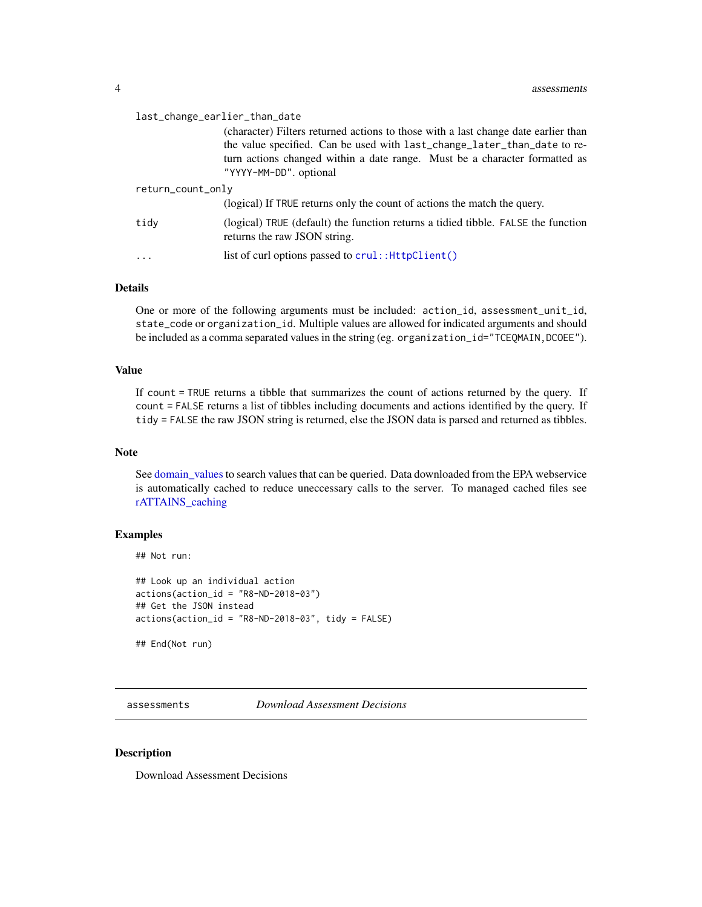<span id="page-3-0"></span>

| last_change_earlier_than_date |                                                                                                                                                                                                                                                                        |  |  |  |
|-------------------------------|------------------------------------------------------------------------------------------------------------------------------------------------------------------------------------------------------------------------------------------------------------------------|--|--|--|
|                               | (character) Filters returned actions to those with a last change date earlier than<br>the value specified. Can be used with last_change_later_than_date to re-<br>turn actions changed within a date range. Must be a character formatted as<br>"YYYY-MM-DD", optional |  |  |  |
| return_count_only             |                                                                                                                                                                                                                                                                        |  |  |  |
|                               | (logical) If TRUE returns only the count of actions the match the query.                                                                                                                                                                                               |  |  |  |
| tidy                          | (logical) TRUE (default) the function returns a tidied tibble. FALSE the function<br>returns the raw JSON string.                                                                                                                                                      |  |  |  |
|                               | list of curl options passed to crul:: HttpClient()                                                                                                                                                                                                                     |  |  |  |

# Details

One or more of the following arguments must be included: action\_id, assessment\_unit\_id, state\_code or organization\_id. Multiple values are allowed for indicated arguments and should be included as a comma separated values in the string (eg. organization\_id="TCEQMAIN, DCOEE").

## Value

If count = TRUE returns a tibble that summarizes the count of actions returned by the query. If count = FALSE returns a list of tibbles including documents and actions identified by the query. If tidy = FALSE the raw JSON string is returned, else the JSON data is parsed and returned as tibbles.

### Note

See domain values to search values that can be queried. Data downloaded from the EPA webservice is automatically cached to reduce uneccessary calls to the server. To managed cached files see [rATTAINS\\_caching](#page-11-1)

# Examples

```
## Not run:
```

```
## Look up an individual action
actions(action_id = "R8-ND-2018-03")
## Get the JSON instead
actions(action_id = "R8-ND-2018-03", tidy = FALSE)
```
## End(Not run)

assessments *Download Assessment Decisions*

#### Description

Download Assessment Decisions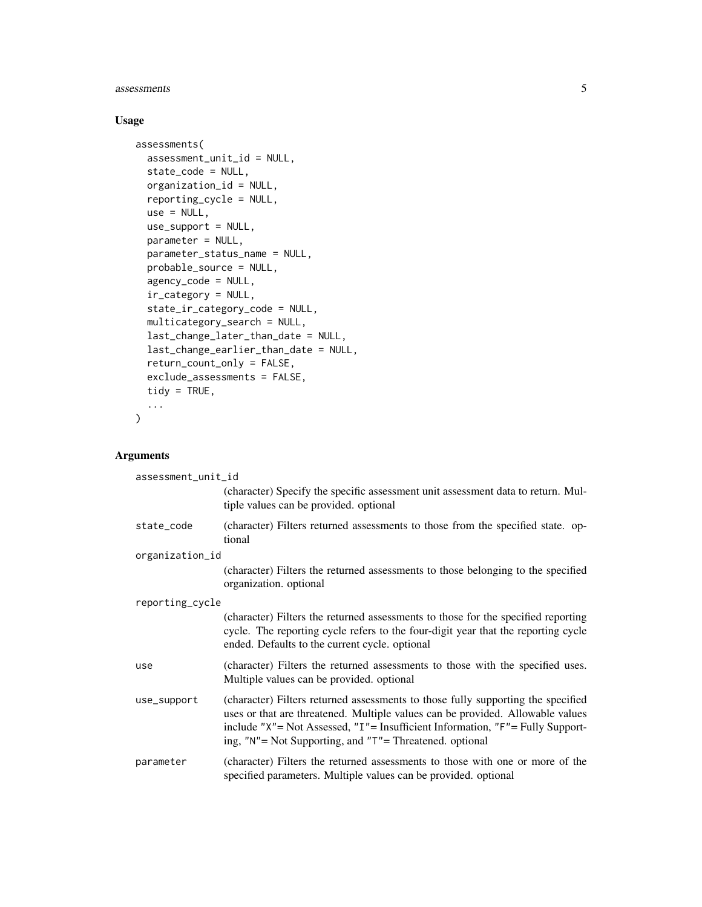#### assessments 5

# Usage

```
assessments(
  assessment_unit_id = NULL,
  state_code = NULL,
 organization_id = NULL,
  reporting_cycle = NULL,
  use = NULL,use_support = NULL,
 parameter = NULL,
  parameter_status_name = NULL,
 probable_source = NULL,
  agency_code = NULL,
  ir_category = NULL,
  state_ir_category_code = NULL,
 multicategory_search = NULL,
  last_change_later_than_date = NULL,
  last_change_earlier_than_date = NULL,
  return_count_only = FALSE,
  exclude_assessments = FALSE,
  tidy = TRUE,
  ...
\mathcal{L}
```
# Arguments

| assessment_unit_id |                                                                                                                                                                                                                                                                                                                |  |  |  |  |
|--------------------|----------------------------------------------------------------------------------------------------------------------------------------------------------------------------------------------------------------------------------------------------------------------------------------------------------------|--|--|--|--|
|                    | (character) Specify the specific assessment unit assessment data to return. Mul-<br>tiple values can be provided. optional                                                                                                                                                                                     |  |  |  |  |
| state_code         | (character) Filters returned assessments to those from the specified state. op-<br>tional                                                                                                                                                                                                                      |  |  |  |  |
| organization_id    |                                                                                                                                                                                                                                                                                                                |  |  |  |  |
|                    | (character) Filters the returned assessments to those belonging to the specified<br>organization. optional                                                                                                                                                                                                     |  |  |  |  |
| reporting_cycle    |                                                                                                                                                                                                                                                                                                                |  |  |  |  |
|                    | (character) Filters the returned assessments to those for the specified reporting<br>cycle. The reporting cycle refers to the four-digit year that the reporting cycle<br>ended. Defaults to the current cycle. optional                                                                                       |  |  |  |  |
| use                | (character) Filters the returned assessments to those with the specified uses.<br>Multiple values can be provided, optional                                                                                                                                                                                    |  |  |  |  |
| use_support        | (character) Filters returned assessments to those fully supporting the specified<br>uses or that are threatened. Multiple values can be provided. Allowable values<br>include "X"= Not Assessed, "I"= Insufficient Information, "F"= Fully Support-<br>ing, "N"= Not Supporting, and "T"= Threatened. optional |  |  |  |  |
| parameter          | (character) Filters the returned assessments to those with one or more of the<br>specified parameters. Multiple values can be provided. optional                                                                                                                                                               |  |  |  |  |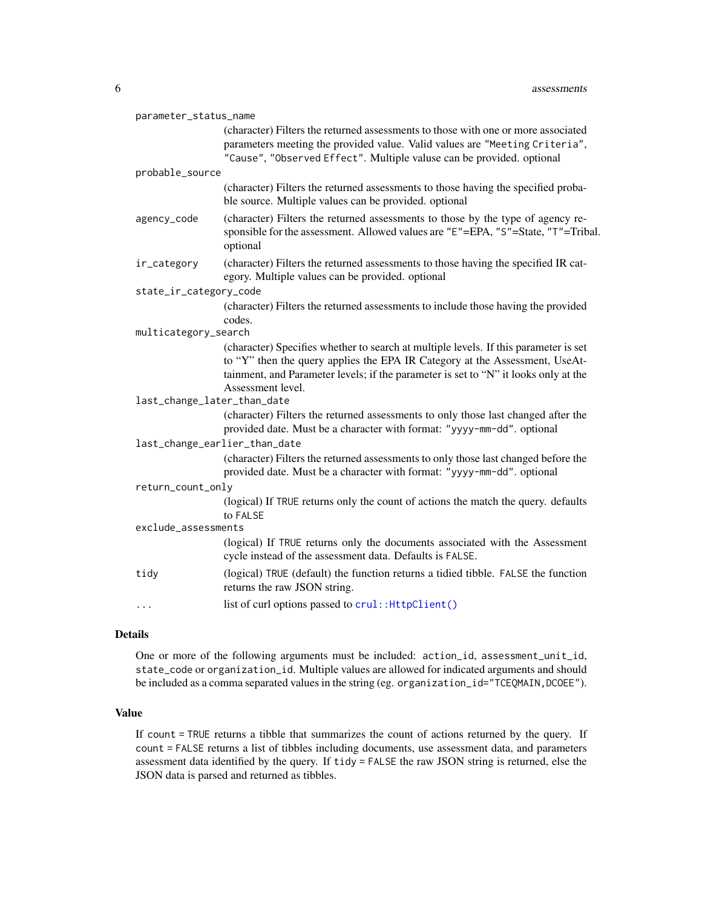<span id="page-5-0"></span>

| parameter_status_name       |                                                                                                                                                                                                                                                            |  |  |  |  |  |
|-----------------------------|------------------------------------------------------------------------------------------------------------------------------------------------------------------------------------------------------------------------------------------------------------|--|--|--|--|--|
|                             | (character) Filters the returned assessments to those with one or more associated<br>parameters meeting the provided value. Valid values are "Meeting Criteria",<br>"Cause", "Observed Effect". Multiple valuse can be provided. optional                  |  |  |  |  |  |
| probable_source             |                                                                                                                                                                                                                                                            |  |  |  |  |  |
|                             | (character) Filters the returned assessments to those having the specified proba-<br>ble source. Multiple values can be provided. optional                                                                                                                 |  |  |  |  |  |
| agency_code                 | (character) Filters the returned assessments to those by the type of agency re-<br>sponsible for the assessment. Allowed values are "E"=EPA, "S"=State, "T"=Tribal.<br>optional                                                                            |  |  |  |  |  |
| ir_category                 | (character) Filters the returned assessments to those having the specified IR cat-<br>egory. Multiple values can be provided. optional                                                                                                                     |  |  |  |  |  |
| state_ir_category_code      |                                                                                                                                                                                                                                                            |  |  |  |  |  |
|                             | (character) Filters the returned assessments to include those having the provided                                                                                                                                                                          |  |  |  |  |  |
|                             | codes.                                                                                                                                                                                                                                                     |  |  |  |  |  |
| multicategory_search        |                                                                                                                                                                                                                                                            |  |  |  |  |  |
|                             | (character) Specifies whether to search at multiple levels. If this parameter is set<br>to "Y" then the query applies the EPA IR Category at the Assessment, UseAt-<br>tainment, and Parameter levels; if the parameter is set to "N" it looks only at the |  |  |  |  |  |
| last_change_later_than_date | Assessment level.                                                                                                                                                                                                                                          |  |  |  |  |  |
|                             |                                                                                                                                                                                                                                                            |  |  |  |  |  |
|                             | (character) Filters the returned assessments to only those last changed after the<br>provided date. Must be a character with format: "yyyy-mm-dd". optional                                                                                                |  |  |  |  |  |
|                             | last_change_earlier_than_date                                                                                                                                                                                                                              |  |  |  |  |  |
|                             | (character) Filters the returned assessments to only those last changed before the<br>provided date. Must be a character with format: "yyyy-mm-dd". optional                                                                                               |  |  |  |  |  |
| return_count_only           |                                                                                                                                                                                                                                                            |  |  |  |  |  |
|                             | (logical) If TRUE returns only the count of actions the match the query. defaults<br>to FALSE                                                                                                                                                              |  |  |  |  |  |
|                             | exclude_assessments                                                                                                                                                                                                                                        |  |  |  |  |  |
|                             | (logical) If TRUE returns only the documents associated with the Assessment<br>cycle instead of the assessment data. Defaults is FALSE.                                                                                                                    |  |  |  |  |  |
| tidy                        | (logical) TRUE (default) the function returns a tidied tibble. FALSE the function<br>returns the raw JSON string.                                                                                                                                          |  |  |  |  |  |
| .                           | list of curl options passed to crul:: HttpClient()                                                                                                                                                                                                         |  |  |  |  |  |

#### Details

One or more of the following arguments must be included: action\_id, assessment\_unit\_id, state\_code or organization\_id. Multiple values are allowed for indicated arguments and should be included as a comma separated values in the string (eg. organization\_id="TCEQMAIN, DCOEE").

# Value

If count = TRUE returns a tibble that summarizes the count of actions returned by the query. If count = FALSE returns a list of tibbles including documents, use assessment data, and parameters assessment data identified by the query. If tidy = FALSE the raw JSON string is returned, else the JSON data is parsed and returned as tibbles.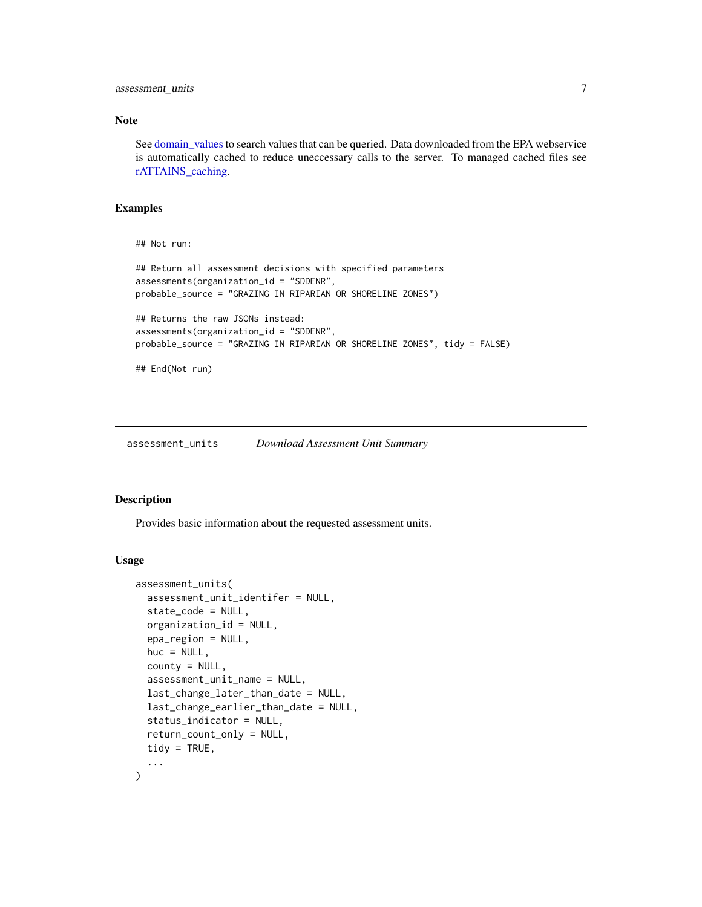<span id="page-6-0"></span>assessment\_units 7

#### Note

See [domain\\_values](#page-8-1) to search values that can be queried. Data downloaded from the EPA webservice is automatically cached to reduce uneccessary calls to the server. To managed cached files see [rATTAINS\\_caching.](#page-11-1)

## Examples

## Not run:

```
## Return all assessment decisions with specified parameters
assessments(organization_id = "SDDENR",
probable_source = "GRAZING IN RIPARIAN OR SHORELINE ZONES")
## Returns the raw JSONs instead:
assessments(organization_id = "SDDENR",
probable_source = "GRAZING IN RIPARIAN OR SHORELINE ZONES", tidy = FALSE)
## End(Not run)
```
assessment\_units *Download Assessment Unit Summary*

#### Description

Provides basic information about the requested assessment units.

# Usage

```
assessment_units(
  assessment_unit_identifer = NULL,
  state_code = NULL,
  organization_id = NULL,
  epa_region = NULL,
  huc = NULL,
  county = NULL,assessment_unit_name = NULL,
  last_change_later_than_date = NULL,
  last_change_earlier_than_date = NULL,
  status_indicator = NULL,
  return_count_only = NULL,
  tidy = TRUE,
  ...
)
```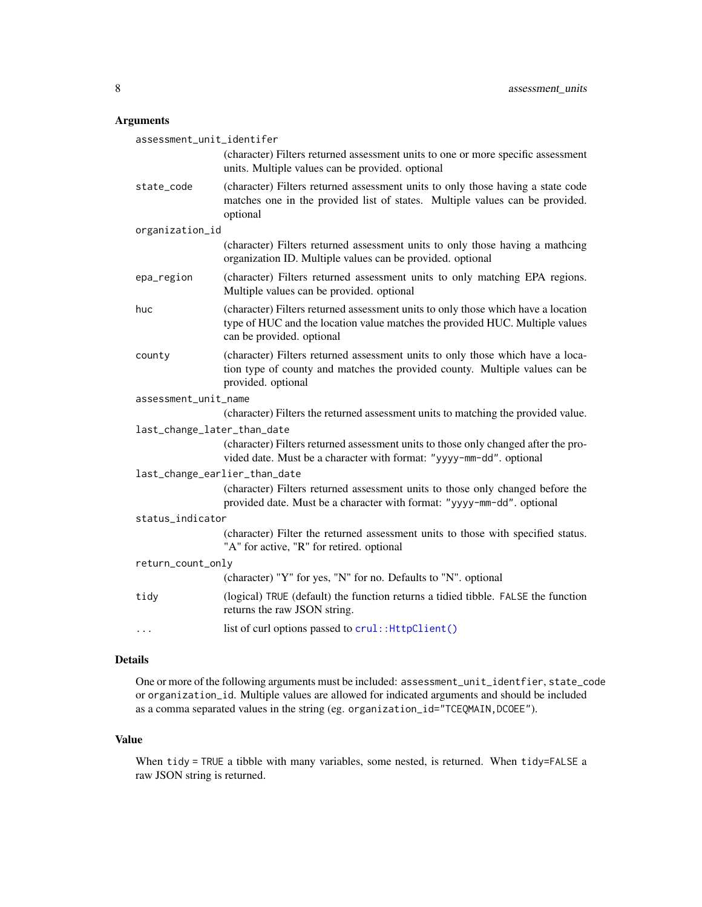# <span id="page-7-0"></span>Arguments

| assessment_unit_identifer     |                                                                                                                                                                                                |
|-------------------------------|------------------------------------------------------------------------------------------------------------------------------------------------------------------------------------------------|
|                               | (character) Filters returned assessment units to one or more specific assessment<br>units. Multiple values can be provided. optional                                                           |
| state_code                    | (character) Filters returned assessment units to only those having a state code<br>matches one in the provided list of states. Multiple values can be provided.<br>optional                    |
| organization_id               |                                                                                                                                                                                                |
|                               | (character) Filters returned assessment units to only those having a mathcing<br>organization ID. Multiple values can be provided. optional                                                    |
| epa_region                    | (character) Filters returned assessment units to only matching EPA regions.<br>Multiple values can be provided. optional                                                                       |
| huc                           | (character) Filters returned assessment units to only those which have a location<br>type of HUC and the location value matches the provided HUC. Multiple values<br>can be provided. optional |
| county                        | (character) Filters returned assessment units to only those which have a loca-<br>tion type of county and matches the provided county. Multiple values can be<br>provided. optional            |
| assessment_unit_name          |                                                                                                                                                                                                |
|                               | (character) Filters the returned assessment units to matching the provided value.                                                                                                              |
| last_change_later_than_date   |                                                                                                                                                                                                |
|                               | (character) Filters returned assessment units to those only changed after the pro-<br>vided date. Must be a character with format: "yyyy-mm-dd". optional                                      |
| last_change_earlier_than_date |                                                                                                                                                                                                |
|                               | (character) Filters returned assessment units to those only changed before the<br>provided date. Must be a character with format: "yyyy-mm-dd". optional                                       |
| status_indicator              |                                                                                                                                                                                                |
|                               | (character) Filter the returned assessment units to those with specified status.<br>"A" for active, "R" for retired. optional                                                                  |
| return_count_only             |                                                                                                                                                                                                |
|                               | (character) "Y" for yes, "N" for no. Defaults to "N". optional                                                                                                                                 |
| tidy                          | (logical) TRUE (default) the function returns a tidied tibble. FALSE the function<br>returns the raw JSON string.                                                                              |
| $\cdots$                      | list of curl options passed to crul:: HttpClient()                                                                                                                                             |

# Details

One or more of the following arguments must be included: assessment\_unit\_identfier, state\_code or organization\_id. Multiple values are allowed for indicated arguments and should be included as a comma separated values in the string (eg. organization\_id="TCEQMAIN,DCOEE").

# Value

When tidy = TRUE a tibble with many variables, some nested, is returned. When tidy=FALSE a raw JSON string is returned.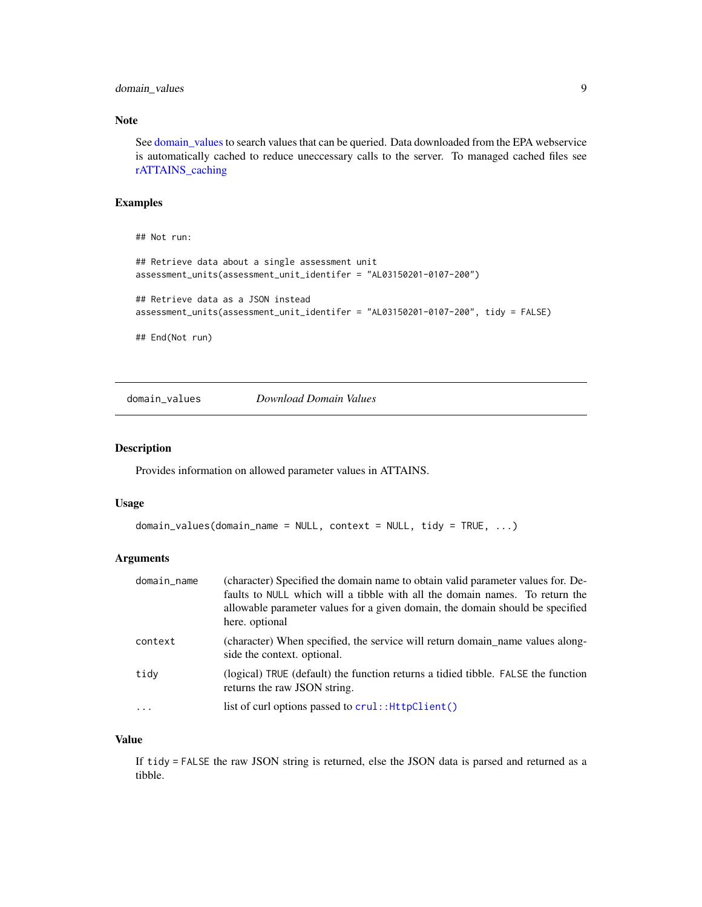# <span id="page-8-0"></span>domain\_values 9

## Note

See [domain\\_values](#page-8-1) to search values that can be queried. Data downloaded from the EPA webservice is automatically cached to reduce uneccessary calls to the server. To managed cached files see [rATTAINS\\_caching](#page-11-1)

#### Examples

```
## Not run:
## Retrieve data about a single assessment unit
assessment_units(assessment_unit_identifer = "AL03150201-0107-200")
## Retrieve data as a JSON instead
assessment_units(assessment_unit_identifer = "AL03150201-0107-200", tidy = FALSE)
## End(Not run)
```
<span id="page-8-1"></span>domain\_values *Download Domain Values*

# Description

Provides information on allowed parameter values in ATTAINS.

#### Usage

```
domain_values(domain_name = NULL, context = NULL, tidy = TRUE, ...)
```
#### Arguments

| domain_name | (character) Specified the domain name to obtain valid parameter values for. De-<br>faults to NULL which will a tibble with all the domain names. To return the<br>allowable parameter values for a given domain, the domain should be specified<br>here. optional |
|-------------|-------------------------------------------------------------------------------------------------------------------------------------------------------------------------------------------------------------------------------------------------------------------|
| context     | (character) When specified, the service will return domain name values along-<br>side the context. optional.                                                                                                                                                      |
| tidy        | (logical) TRUE (default) the function returns a tidied tibble. FALSE the function<br>returns the raw JSON string.                                                                                                                                                 |
|             | list of curl options passed to crul:: HttpClient()                                                                                                                                                                                                                |

## Value

If tidy = FALSE the raw JSON string is returned, else the JSON data is parsed and returned as a tibble.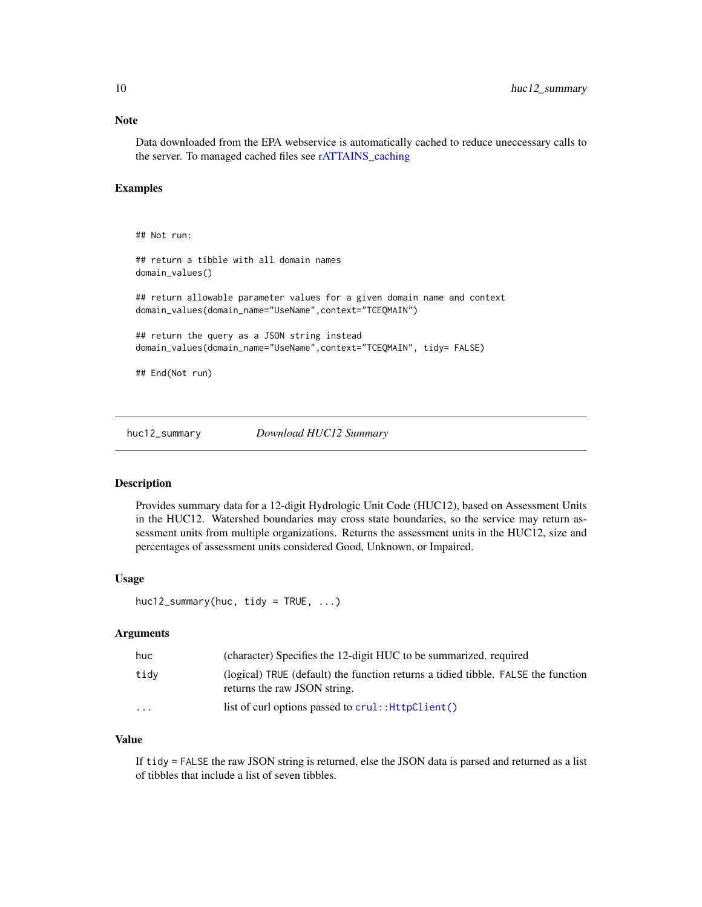# <span id="page-9-0"></span>Note

Data downloaded from the EPA webservice is automatically cached to reduce uneccessary calls to the server. To managed cached files see [rATTAINS\\_caching](#page-11-1)

# Examples

```
## Not run:
## return a tibble with all domain names
domain_values()
## return allowable parameter values for a given domain name and context
domain_values(domain_name="UseName",context="TCEQMAIN")
## return the query as a JSON string instead
domain_values(domain_name="UseName",context="TCEQMAIN", tidy= FALSE)
## End(Not run)
```
huc12\_summary *Download HUC12 Summary*

#### **Description**

Provides summary data for a 12-digit Hydrologic Unit Code (HUC12), based on Assessment Units in the HUC12. Watershed boundaries may cross state boundaries, so the service may return assessment units from multiple organizations. Returns the assessment units in the HUC12, size and percentages of assessment units considered Good, Unknown, or Impaired.

#### Usage

```
huc12_summary(huc, tidy = TRUE, ...)
```
#### Arguments

| huc      | (character) Specifies the 12-digit HUC to be summarized, required                                                 |
|----------|-------------------------------------------------------------------------------------------------------------------|
| tidv     | (logical) TRUE (default) the function returns a tidied tibble. FALSE the function<br>returns the raw JSON string. |
| $\cdots$ | list of curl options passed to crul:: HttpClient()                                                                |

# Value

If tidy = FALSE the raw JSON string is returned, else the JSON data is parsed and returned as a list of tibbles that include a list of seven tibbles.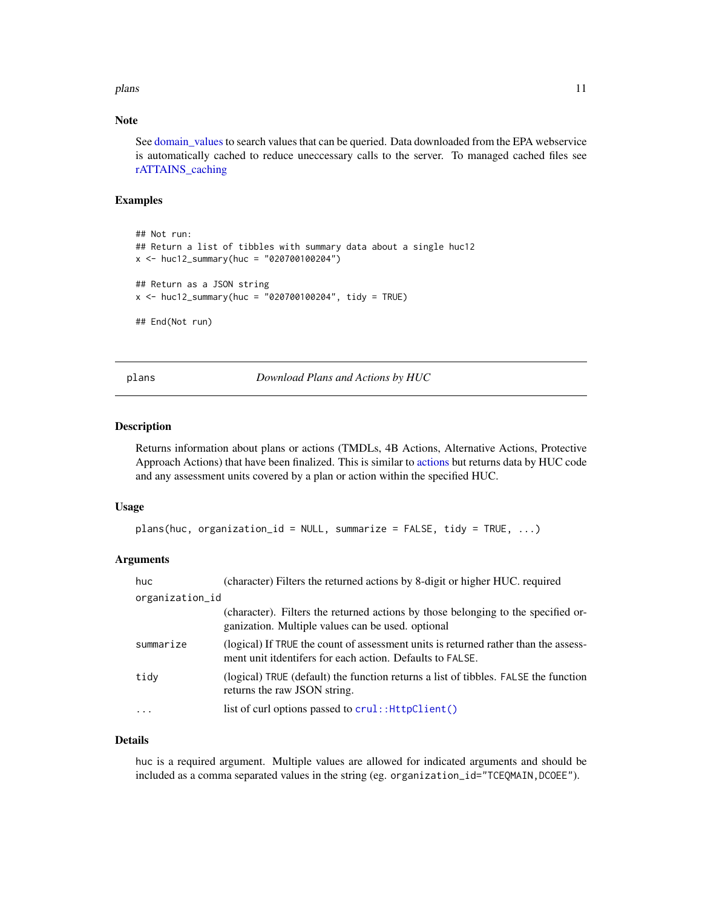#### <span id="page-10-0"></span>plans that the contract of the contract of the contract of the contract of the contract of the contract of the contract of the contract of the contract of the contract of the contract of the contract of the contract of the

# Note

See [domain\\_values](#page-8-1) to search values that can be queried. Data downloaded from the EPA webservice is automatically cached to reduce uneccessary calls to the server. To managed cached files see [rATTAINS\\_caching](#page-11-1)

# Examples

```
## Not run:
## Return a list of tibbles with summary data about a single huc12
x <- huc12_summary(huc = "020700100204")
## Return as a JSON string
x <- huc12_summary(huc = "020700100204", tidy = TRUE)
## End(Not run)
```
plans *Download Plans and Actions by HUC*

#### Description

Returns information about plans or actions (TMDLs, 4B Actions, Alternative Actions, Protective Approach Actions) that have been finalized. This is similar to [actions](#page-1-1) but returns data by HUC code and any assessment units covered by a plan or action within the specified HUC.

#### Usage

```
plans(huc, organization_id = NULL, summarize = FALSE, tidy = TRUE, ...)
```
# Arguments

| huc.                    | (character) Filters the returned actions by 8-digit or higher HUC. required                                                                      |
|-------------------------|--------------------------------------------------------------------------------------------------------------------------------------------------|
| organization_id         |                                                                                                                                                  |
|                         | (character). Filters the returned actions by those belonging to the specified or-<br>ganization. Multiple values can be used, optional           |
| summarize               | (logical) If TRUE the count of assessment units is returned rather than the assess-<br>ment unit itdentifers for each action. Defaults to FALSE. |
| tidy                    | (logical) TRUE (default) the function returns a list of tibbles. FALSE the function<br>returns the raw JSON string.                              |
| $\cdot$ $\cdot$ $\cdot$ | list of curl options passed to crul:: HttpClient()                                                                                               |

#### Details

huc is a required argument. Multiple values are allowed for indicated arguments and should be included as a comma separated values in the string (eg. organization\_id="TCEQMAIN,DCOEE").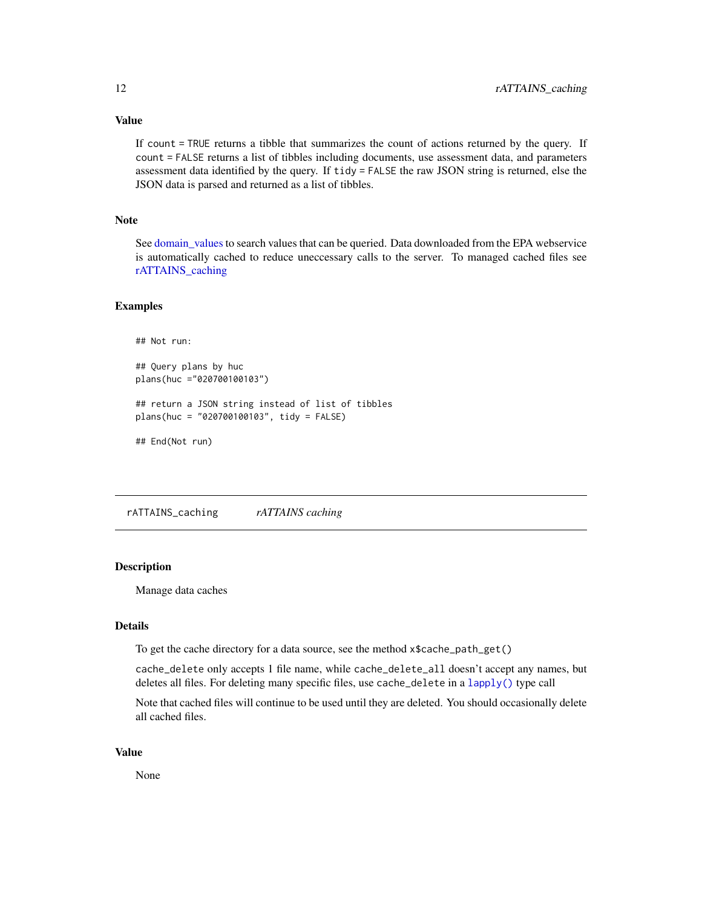<span id="page-11-0"></span>Value

If count = TRUE returns a tibble that summarizes the count of actions returned by the query. If count = FALSE returns a list of tibbles including documents, use assessment data, and parameters assessment data identified by the query. If tidy = FALSE the raw JSON string is returned, else the JSON data is parsed and returned as a list of tibbles.

#### Note

See [domain\\_values](#page-8-1) to search values that can be queried. Data downloaded from the EPA webservice is automatically cached to reduce uneccessary calls to the server. To managed cached files see [rATTAINS\\_caching](#page-11-1)

#### Examples

```
## Not run:
## Query plans by huc
plans(huc ="020700100103")
## return a JSON string instead of list of tibbles
plans(huc = "020700100103", tidy = FALSE)
## End(Not run)
```
<span id="page-11-1"></span>rATTAINS\_caching *rATTAINS caching*

## Description

Manage data caches

#### Details

To get the cache directory for a data source, see the method x\$cache\_path\_get()

cache\_delete only accepts 1 file name, while cache\_delete\_all doesn't accept any names, but deletes all files. For deleting many specific files, use cache\_delete in a [lapply\(\)](#page-0-0) type call

Note that cached files will continue to be used until they are deleted. You should occasionally delete all cached files.

#### Value

None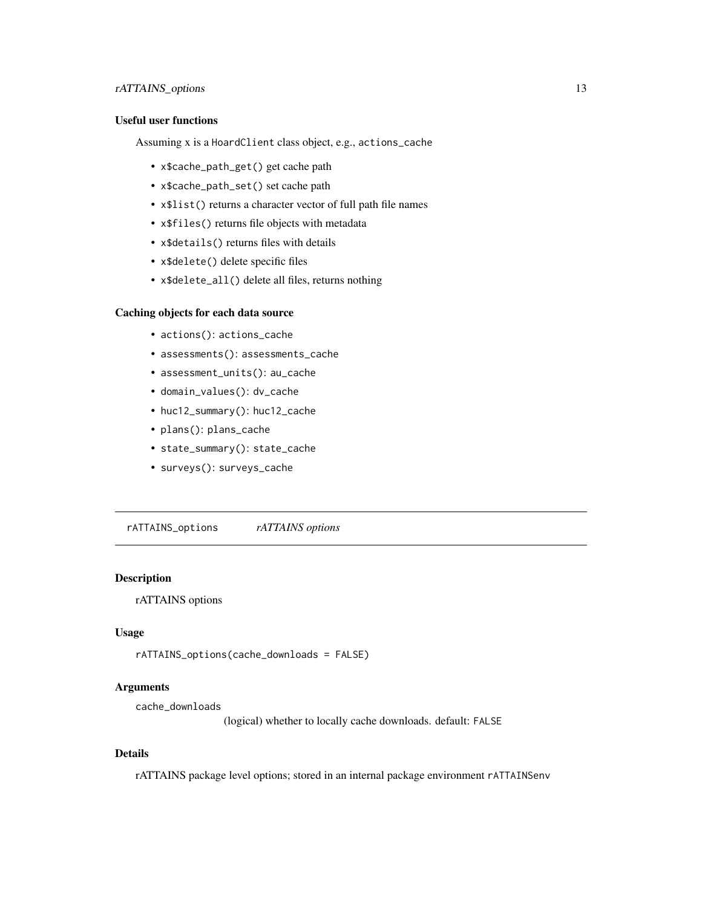# <span id="page-12-0"></span>rATTAINS\_options 13

# Useful user functions

Assuming x is a HoardClient class object, e.g., actions\_cache

- x\$cache\_path\_get() get cache path
- x\$cache\_path\_set() set cache path
- x\$list() returns a character vector of full path file names
- x\$files() returns file objects with metadata
- x\$details() returns files with details
- x\$delete() delete specific files
- x\$delete\_all() delete all files, returns nothing

#### Caching objects for each data source

- actions(): actions\_cache
- assessments(): assessments\_cache
- assessment\_units(): au\_cache
- domain\_values(): dv\_cache
- huc12\_summary(): huc12\_cache
- plans(): plans\_cache
- state\_summary(): state\_cache
- surveys(): surveys\_cache

rATTAINS\_options *rATTAINS options*

### Description

rATTAINS options

# Usage

```
rATTAINS_options(cache_downloads = FALSE)
```
# Arguments

cache\_downloads

(logical) whether to locally cache downloads. default: FALSE

#### Details

rATTAINS package level options; stored in an internal package environment rATTAINSenv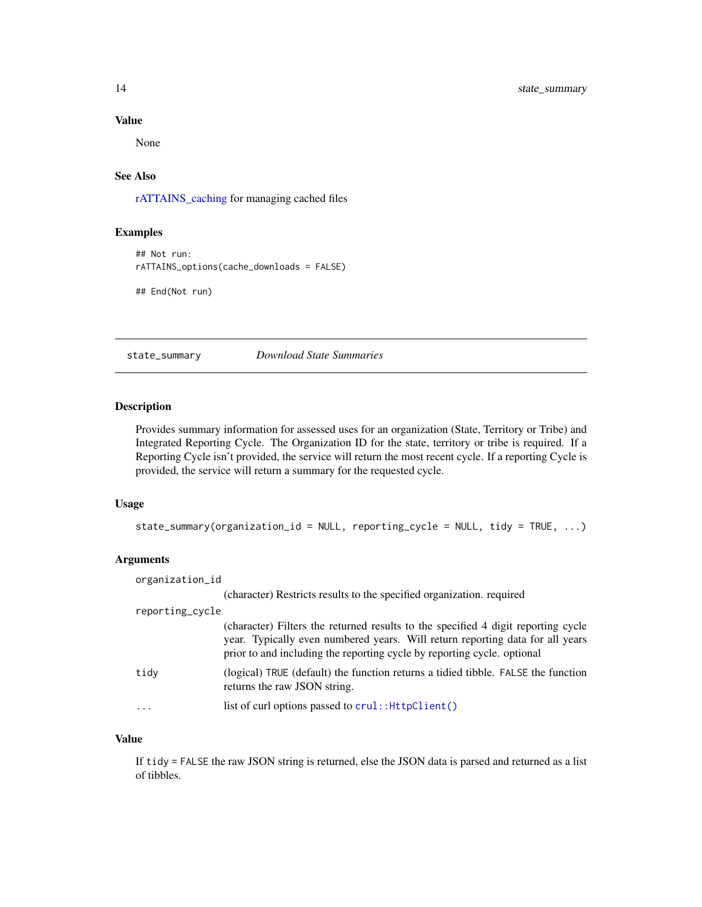# <span id="page-13-0"></span>Value

None

# See Also

[rATTAINS\\_caching](#page-11-1) for managing cached files

# Examples

```
## Not run:
rATTAINS_options(cache_downloads = FALSE)
```
## End(Not run)

## state\_summary *Download State Summaries*

# Description

Provides summary information for assessed uses for an organization (State, Territory or Tribe) and Integrated Reporting Cycle. The Organization ID for the state, territory or tribe is required. If a Reporting Cycle isn't provided, the service will return the most recent cycle. If a reporting Cycle is provided, the service will return a summary for the requested cycle.

# Usage

```
state_summary(organization_id = NULL, reporting_cycle = NULL, tidy = TRUE, ...)
```
# Arguments

| organization_id |                                                                                                                                                                                                                                               |
|-----------------|-----------------------------------------------------------------------------------------------------------------------------------------------------------------------------------------------------------------------------------------------|
|                 | (character) Restricts results to the specified organization. required                                                                                                                                                                         |
| reporting_cycle |                                                                                                                                                                                                                                               |
|                 | (character) Filters the returned results to the specified 4 digit reporting cycle<br>year. Typically even numbered years. Will return reporting data for all years<br>prior to and including the reporting cycle by reporting cycle. optional |
| tidy            | (logical) TRUE (default) the function returns a tidied tibble. FALSE the function<br>returns the raw JSON string.                                                                                                                             |
|                 | list of curl options passed to crul:: HttpClient()                                                                                                                                                                                            |

# Value

If tidy = FALSE the raw JSON string is returned, else the JSON data is parsed and returned as a list of tibbles.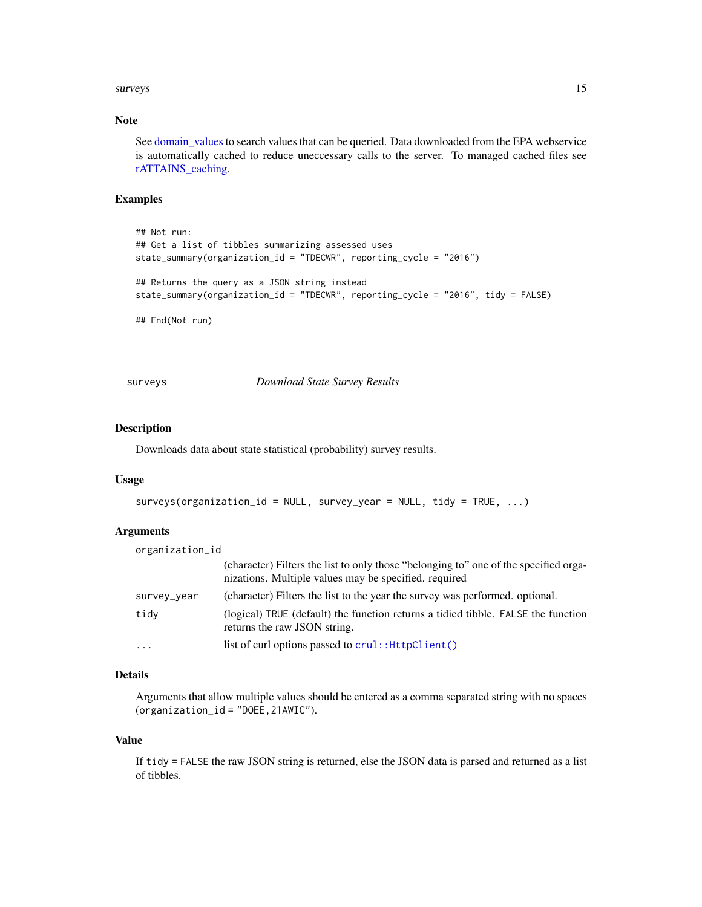#### <span id="page-14-0"></span>surveys and the state of the state of the state of the state of the state of the state of the state of the state of the state of the state of the state of the state of the state of the state of the state of the state of th

# Note

See [domain\\_values](#page-8-1) to search values that can be queried. Data downloaded from the EPA webservice is automatically cached to reduce uneccessary calls to the server. To managed cached files see [rATTAINS\\_caching.](#page-11-1)

# Examples

```
## Not run:
## Get a list of tibbles summarizing assessed uses
state_summary(organization_id = "TDECWR", reporting_cycle = "2016")
## Returns the query as a JSON string instead
state_summary(organization_id = "TDECWR", reporting_cycle = "2016", tidy = FALSE)
## End(Not run)
```
surveys *Download State Survey Results*

#### Description

Downloads data about state statistical (probability) survey results.

#### Usage

```
surveys(organization_id = NULL, survey_year = NULL, tidy = TRUE, ...)
```
# Arguments

| organization_id |                                                                                                                                               |
|-----------------|-----------------------------------------------------------------------------------------------------------------------------------------------|
|                 | (character) Filters the list to only those "belonging to" one of the specified orga-<br>nizations. Multiple values may be specified. required |
| survey_year     | (character) Filters the list to the year the survey was performed. optional.                                                                  |
| tidy            | (logical) TRUE (default) the function returns a tidied tibble. FALSE the function<br>returns the raw JSON string.                             |
| $\cdots$        | list of curl options passed to crul:: HttpClient()                                                                                            |

# Details

Arguments that allow multiple values should be entered as a comma separated string with no spaces (organization\_id = "DOEE,21AWIC").

#### Value

If tidy = FALSE the raw JSON string is returned, else the JSON data is parsed and returned as a list of tibbles.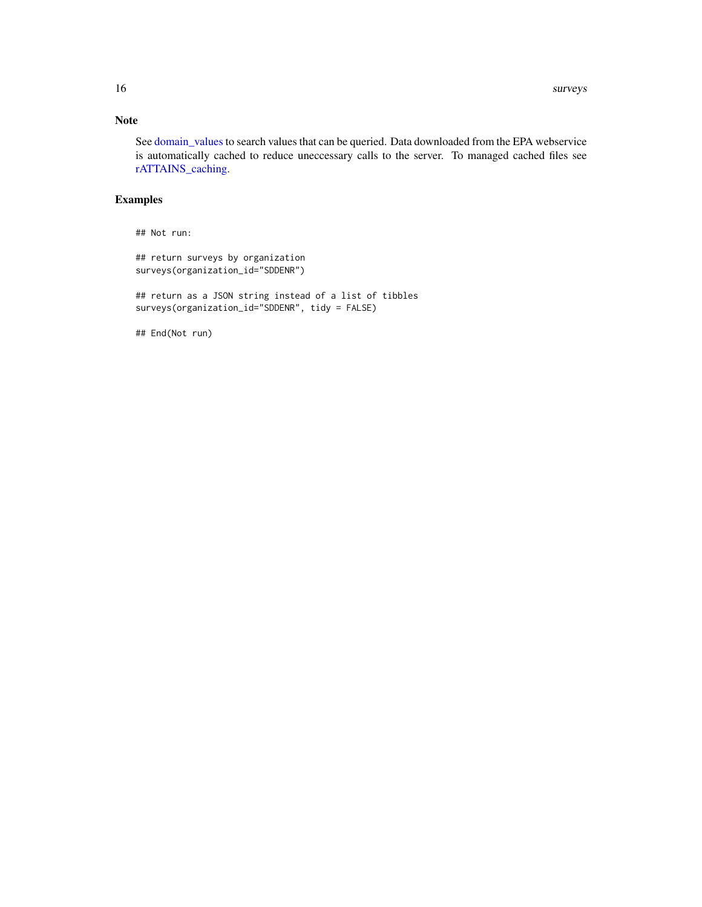# <span id="page-15-0"></span>Note

See [domain\\_values](#page-8-1) to search values that can be queried. Data downloaded from the EPA webservice is automatically cached to reduce uneccessary calls to the server. To managed cached files see [rATTAINS\\_caching.](#page-11-1)

# Examples

## Not run:

```
## return surveys by organization
surveys(organization_id="SDDENR")
```
## return as a JSON string instead of a list of tibbles surveys(organization\_id="SDDENR", tidy = FALSE)

## End(Not run)